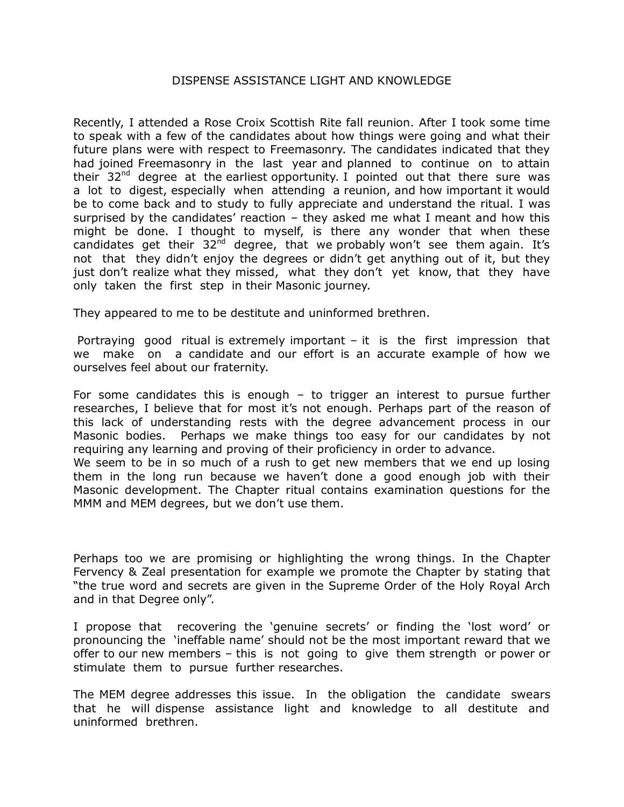## DISPENSE ASSISTANCE LIGHT AND KNOWLEDGE

Recently, I attended a Rose Croix Scottish Rite fall reunion. After I took some time to speak with a few of the candidates about how things were going and what their future plans were with respect to Freemasonry. The candidates indicated that they had joined Freemasonry in the last year and planned to continue on to attain their  $32<sup>nd</sup>$  degree at the earliest opportunity. I pointed out that there sure was a lot to digest, especially when attending a reunion, and how important it would be to come back and to study to fully appreciate and understand the ritual. I was surprised by the candidates' reaction  $-$  they asked me what I meant and how this might be done. I thought to myself, is there any wonder that when these candidates get their  $32^{nd}$  degree, that we probably won't see them again. It's not that they didn't enjoy the degrees or didn't get anything out of it, but they just don't realize what they missed, what they don't yet know, that they have only taken the first step in their Masonic journey.

They appeared to me to be destitute and uninformed brethren.

Portraying good ritual is extremely important – it is the first impression that we make on a candidate and our effort is an accurate example of how we ourselves feel about our fraternity.

For some candidates this is enough – to trigger an interest to pursue further researches, I believe that for most it's not enough. Perhaps part of the reason of this lack of understanding rests with the degree advancement process in our Masonic bodies. Perhaps we make things too easy for our candidates by not requiring any learning and proving of their proficiency in order to advance.

We seem to be in so much of a rush to get new members that we end up losing them in the long run because we haven't done a good enough job with their Masonic development. The Chapter ritual contains examination questions for the MMM and MEM degrees, but we don't use them.

Perhaps too we are promising or highlighting the wrong things. In the Chapter Fervency & Zeal presentation for example we promote the Chapter by stating that "the true word and secrets are given in the Supreme Order of the Holy Royal Arch and in that Degree only".

I propose that recovering the 'genuine secrets' or finding the 'lost word' or pronouncing the 'ineffable name' should not be the most important reward that we offer to our new members – this is not going to give them strength or power or stimulate them to pursue further researches.

The MEM degree addresses this issue. In the obligation the candidate swears that he will dispense assistance light and knowledge to all destitute and uninformed brethren.